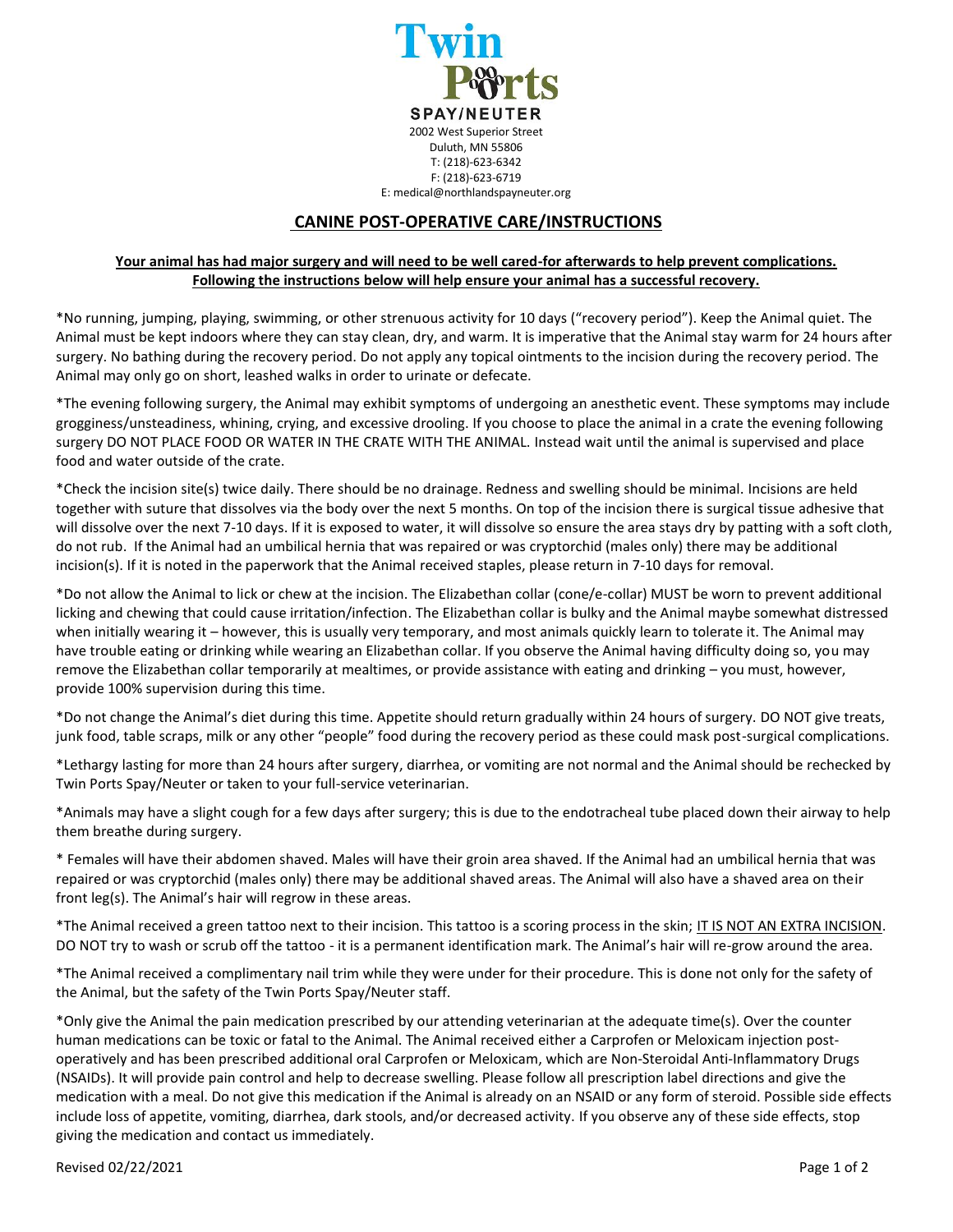

## **CANINE POST-OPERATIVE CARE/INSTRUCTIONS**

## **Your animal has had major surgery and will need to be well cared-for afterwards to help prevent complications. Following the instructions below will help ensure your animal has a successful recovery.**

\*No running, jumping, playing, swimming, or other strenuous activity for 10 days ("recovery period"). Keep the Animal quiet. The Animal must be kept indoors where they can stay clean, dry, and warm. It is imperative that the Animal stay warm for 24 hours after surgery. No bathing during the recovery period. Do not apply any topical ointments to the incision during the recovery period. The Animal may only go on short, leashed walks in order to urinate or defecate.

\*The evening following surgery, the Animal may exhibit symptoms of undergoing an anesthetic event. These symptoms may include grogginess/unsteadiness, whining, crying, and excessive drooling. If you choose to place the animal in a crate the evening following surgery DO NOT PLACE FOOD OR WATER IN THE CRATE WITH THE ANIMAL. Instead wait until the animal is supervised and place food and water outside of the crate.

\*Check the incision site(s) twice daily. There should be no drainage. Redness and swelling should be minimal. Incisions are held together with suture that dissolves via the body over the next 5 months. On top of the incision there is surgical tissue adhesive that will dissolve over the next 7-10 days. If it is exposed to water, it will dissolve so ensure the area stays dry by patting with a soft cloth, do not rub. If the Animal had an umbilical hernia that was repaired or was cryptorchid (males only) there may be additional incision(s). If it is noted in the paperwork that the Animal received staples, please return in 7-10 days for removal.

\*Do not allow the Animal to lick or chew at the incision. The Elizabethan collar (cone/e-collar) MUST be worn to prevent additional licking and chewing that could cause irritation/infection. The Elizabethan collar is bulky and the Animal maybe somewhat distressed when initially wearing it – however, this is usually very temporary, and most animals quickly learn to tolerate it. The Animal may have trouble eating or drinking while wearing an Elizabethan collar. If you observe the Animal having difficulty doing so, you may remove the Elizabethan collar temporarily at mealtimes, or provide assistance with eating and drinking – you must, however, provide 100% supervision during this time.

\*Do not change the Animal's diet during this time. Appetite should return gradually within 24 hours of surgery. DO NOT give treats, junk food, table scraps, milk or any other "people" food during the recovery period as these could mask post-surgical complications.

\*Lethargy lasting for more than 24 hours after surgery, diarrhea, or vomiting are not normal and the Animal should be rechecked by Twin Ports Spay/Neuter or taken to your full-service veterinarian.

\*Animals may have a slight cough for a few days after surgery; this is due to the endotracheal tube placed down their airway to help them breathe during surgery.

\* Females will have their abdomen shaved. Males will have their groin area shaved. If the Animal had an umbilical hernia that was repaired or was cryptorchid (males only) there may be additional shaved areas. The Animal will also have a shaved area on their front leg(s). The Animal's hair will regrow in these areas.

\*The Animal received a green tattoo next to their incision. This tattoo is a scoring process in the skin; IT IS NOT AN EXTRA INCISION. DO NOT try to wash or scrub off the tattoo - it is a permanent identification mark. The Animal's hair will re-grow around the area.

\*The Animal received a complimentary nail trim while they were under for their procedure. This is done not only for the safety of the Animal, but the safety of the Twin Ports Spay/Neuter staff.

\*Only give the Animal the pain medication prescribed by our attending veterinarian at the adequate time(s). Over the counter human medications can be toxic or fatal to the Animal. The Animal received either a Carprofen or Meloxicam injection postoperatively and has been prescribed additional oral Carprofen or Meloxicam, which are Non-Steroidal Anti-Inflammatory Drugs (NSAIDs). It will provide pain control and help to decrease swelling. Please follow all prescription label directions and give the medication with a meal. Do not give this medication if the Animal is already on an NSAID or any form of steroid. Possible side effects include loss of appetite, vomiting, diarrhea, dark stools, and/or decreased activity. If you observe any of these side effects, stop giving the medication and contact us immediately.